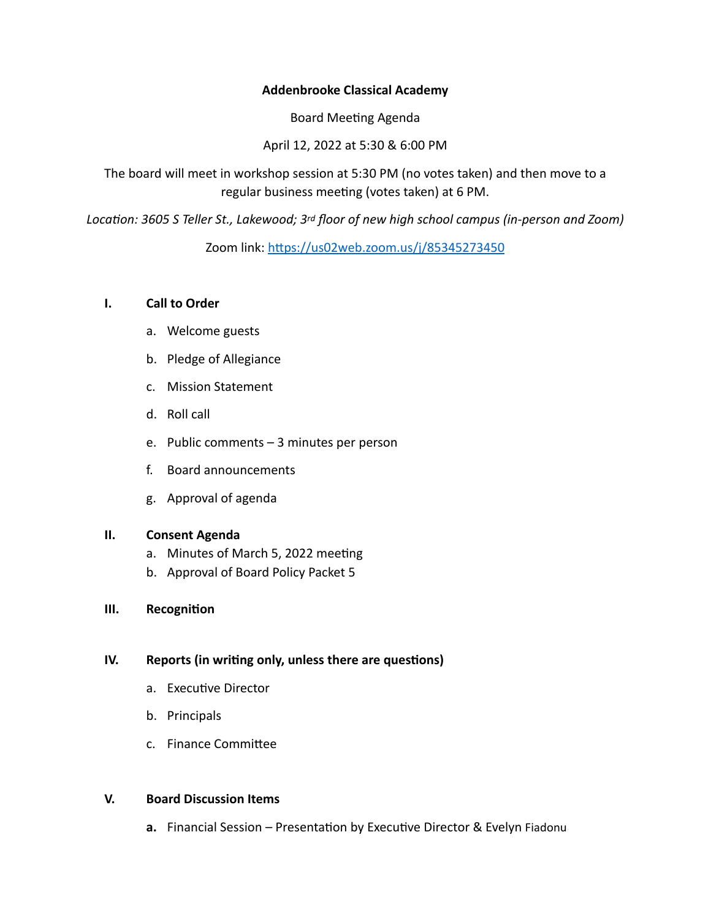# **Addenbrooke Classical Academy**

Board Meeting Agenda

April 12, 2022 at 5:30 & 6:00 PM

The board will meet in workshop session at 5:30 PM (no votes taken) and then move to a regular business meeting (votes taken) at 6 PM.

*Location: 3605 S Teller St., Lakewood; 3rd floor of new high school campus (in-person and Zoom)*

Zoom link: <https://us02web.zoom.us/j/85345273450>

# **I. Call to Order**

- a. Welcome guests
- b. Pledge of Allegiance
- c. Mission Statement
- d. Roll call
- e. Public comments 3 minutes per person
- f. Board announcements
- g. Approval of agenda

## **II. Consent Agenda**

- a. Minutes of March 5, 2022 meeting
- b. Approval of Board Policy Packet 5

## **III. Recognition**

# **IV. Reports (in writing only, unless there are questions)**

- a. Executive Director
- b. Principals
- c. Finance Committee

## **V. Board Discussion Items**

**a.** Financial Session – Presentation by Executive Director & Evelyn Fiadonu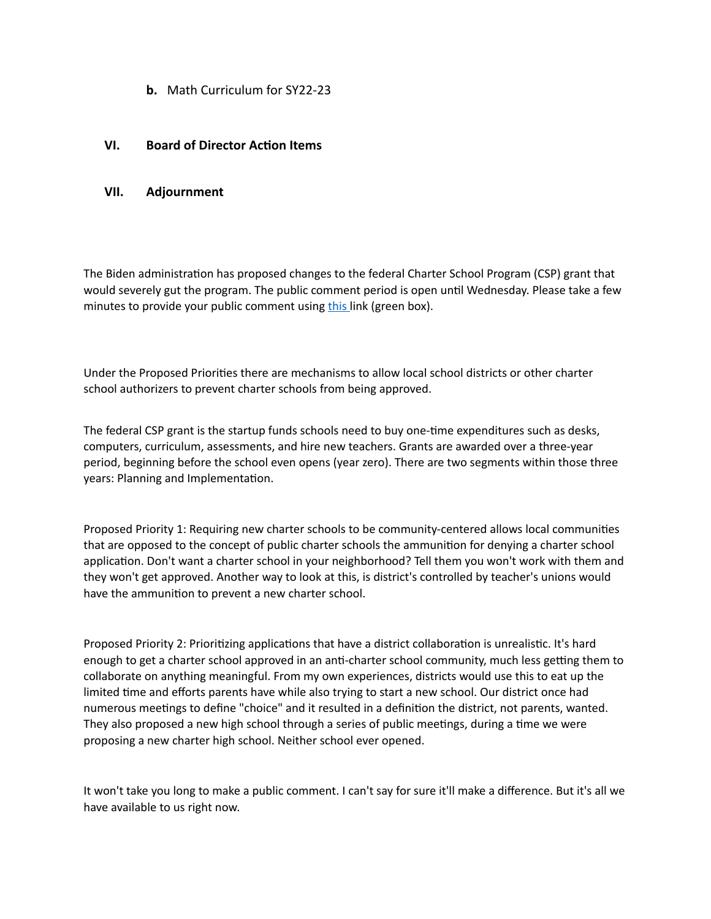**b.** Math Curriculum for SY22-23

### **VI. Board of Director Action Items**

#### **VII. Adjournment**

The Biden administration has proposed changes to the federal Charter School Program (CSP) grant that would severely gut the program. The public comment period is open until Wednesday. Please take a few minutes to provide your public comment using [this](https://www.federalregister.gov/documents/2022/03/14/2022-05463/proposed-priorities-requirements-definitions-and-selection-criteria-expanding-opportunity-through) link (green box).

Under the Proposed Priorities there are mechanisms to allow local school districts or other charter school authorizers to prevent charter schools from being approved.

The federal CSP grant is the startup funds schools need to buy one-time expenditures such as desks, computers, curriculum, assessments, and hire new teachers. Grants are awarded over a three-year period, beginning before the school even opens (year zero). There are two segments within those three years: Planning and Implementation.

Proposed Priority 1: Requiring new charter schools to be community-centered allows local communities that are opposed to the concept of public charter schools the ammunition for denying a charter school application. Don't want a charter school in your neighborhood? Tell them you won't work with them and they won't get approved. Another way to look at this, is district's controlled by teacher's unions would have the ammunition to prevent a new charter school.

Proposed Priority 2: Prioritizing applications that have a district collaboration is unrealistic. It's hard enough to get a charter school approved in an anti-charter school community, much less getting them to collaborate on anything meaningful. From my own experiences, districts would use this to eat up the limited time and efforts parents have while also trying to start a new school. Our district once had numerous meetings to define "choice" and it resulted in a definition the district, not parents, wanted. They also proposed a new high school through a series of public meetings, during a time we were proposing a new charter high school. Neither school ever opened.

It won't take you long to make a public comment. I can't say for sure it'll make a difference. But it's all we have available to us right now.